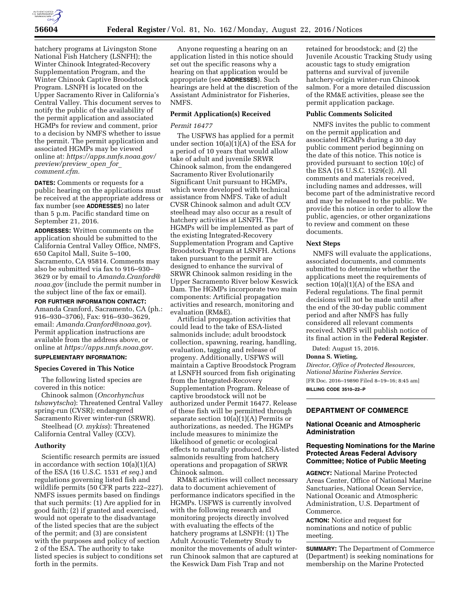

hatchery programs at Livingston Stone National Fish Hatchery (LSNFH); the Winter Chinook Integrated-Recovery Supplementation Program, and the Winter Chinook Captive Broodstock Program. LSNFH is located on the Upper Sacramento River in California's Central Valley. This document serves to notify the public of the availability of the permit application and associated HGMPs for review and comment, prior to a decision by NMFS whether to issue the permit. The permit application and associated HGMPs may be viewed online at: *[https://apps.nmfs.noaa.gov/](https://apps.nmfs.noaa.gov/preview/preview_open_for_comment.cfm) [preview/preview](https://apps.nmfs.noaa.gov/preview/preview_open_for_comment.cfm)*\_*open*\_*for*\_ *[comment.cfm.](https://apps.nmfs.noaa.gov/preview/preview_open_for_comment.cfm)* 

**DATES:** Comments or requests for a public hearing on the applications must be received at the appropriate address or fax number (see **ADDRESSES**) no later than 5 p.m. Pacific standard time on September 21, 2016.

**ADDRESSES:** Written comments on the application should be submitted to the California Central Valley Office, NMFS, 650 Capitol Mall, Suite 5–100, Sacramento, CA 95814. Comments may also be submitted via fax to 916–930– 3629 or by email to *[Amanda.Cranford@](mailto:Amanda.Cranford@noaa.gov) [noaa.gov](mailto:Amanda.Cranford@noaa.gov)* (include the permit number in the subject line of the fax or email).

**FOR FURTHER INFORMATION CONTACT:**  Amanda Cranford, Sacramento, CA (ph.: 916–930–3706), Fax: 916–930–3629, email: *[Amanda.Cranford@noaa.gov](mailto:Amanda.Cranford@noaa.gov)*). Permit application instructions are available from the address above, or online at *[https://apps.nmfs.noaa.gov.](https://apps.nmfs.noaa.gov)*  **SUPPLEMENTARY INFORMATION:** 

# **Species Covered in This Notice**

The following listed species are covered in this notice:

Chinook salmon (*Oncorhynchus tshawytscha*): Threatened Central Valley spring-run (CVSR); endangered Sacramento River winter-run (SRWR).

Steelhead (*O. mykiss*): Threatened California Central Valley (CCV).

#### **Authority**

Scientific research permits are issued in accordance with section 10(a)(1)(A) of the ESA (16 U.S.C. 1531 *et seq.*) and regulations governing listed fish and wildlife permits (50 CFR parts 222–227). NMFS issues permits based on findings that such permits: (1) Are applied for in good faith; (2) if granted and exercised, would not operate to the disadvantage of the listed species that are the subject of the permit; and (3) are consistent with the purposes and policy of section 2 of the ESA. The authority to take listed species is subject to conditions set forth in the permits.

Anyone requesting a hearing on an application listed in this notice should set out the specific reasons why a hearing on that application would be appropriate (see **ADDRESSES**). Such hearings are held at the discretion of the Assistant Administrator for Fisheries, NMFS.

# **Permit Application(s) Received**

# *Permit 16477*

The USFWS has applied for a permit under section  $10(a)(1)(A)$  of the ESA for a period of 10 years that would allow take of adult and juvenile SRWR Chinook salmon, from the endangered Sacramento River Evolutionarily Significant Unit pursuant to HGMPs, which were developed with technical assistance from NMFS. Take of adult CVSR Chinook salmon and adult CCV steelhead may also occur as a result of hatchery activities at LSNFH. The HGMPs will be implemented as part of the existing Integrated-Recovery Supplementation Program and Captive Broodstock Program at LSNFH. Actions taken pursuant to the permit are designed to enhance the survival of SRWR Chinook salmon residing in the Upper Sacramento River below Keswick Dam. The HGMPs incorporate two main components: Artificial propagation activities and research, monitoring and evaluation (RM&E).

Artificial propagation activities that could lead to the take of ESA-listed salmonids include; adult broodstock collection, spawning, rearing, handling, evaluation, tagging and release of progeny. Additionally, USFWS will maintain a Captive Broodstock Program at LSNFH sourced from fish originating from the Integrated-Recovery Supplementation Program. Release of captive broodstock will not be authorized under Permit 16477. Release of these fish will be permitted through separate section  $10(a)(1)(A)$  Permits or authorizations, as needed. The HGMPs include measures to minimize the likelihood of genetic or ecological effects to naturally produced, ESA-listed salmonids resulting from hatchery operations and propagation of SRWR Chinook salmon.

RM&E activities will collect necessary data to document achievement of performance indicators specified in the HGMPs. USFWS is currently involved with the following research and monitoring projects directly involved with evaluating the effects of the hatchery programs at LSNFH: (1) The Adult Acoustic Telemetry Study to monitor the movements of adult winterrun Chinook salmon that are captured at the Keswick Dam Fish Trap and not

retained for broodstock; and (2) the Juvenile Acoustic Tracking Study using acoustic tags to study emigration patterns and survival of juvenile hatchery-origin winter-run Chinook salmon. For a more detailed discussion of the RM&E activities, please see the permit application package.

#### **Public Comments Solicited**

NMFS invites the public to comment on the permit application and associated HGMPs during a 30 day public comment period beginning on the date of this notice. This notice is provided pursuant to section 10(c) of the ESA (16 U.S.C. 1529(c)). All comments and materials received, including names and addresses, will become part of the administrative record and may be released to the public. We provide this notice in order to allow the public, agencies, or other organizations to review and comment on these documents.

#### **Next Steps**

NMFS will evaluate the applications, associated documents, and comments submitted to determine whether the applications meet the requirements of section 10(a)(1)(A) of the ESA and Federal regulations. The final permit decisions will not be made until after the end of the 30-day public comment period and after NMFS has fully considered all relevant comments received. NMFS will publish notice of its final action in the **Federal Register**.

Dated: August 15, 2016.

#### **Donna S. Wieting,**

*Director, Office of Protected Resources, National Marine Fisheries Service.*  [FR Doc. 2016–19890 Filed 8–19–16; 8:45 am] **BILLING CODE 3510–22–P** 

# **DEPARTMENT OF COMMERCE**

# **National Oceanic and Atmospheric Administration**

# **Requesting Nominations for the Marine Protected Areas Federal Advisory Committee; Notice of Public Meeting**

**AGENCY:** National Marine Protected Areas Center, Office of National Marine Sanctuaries, National Ocean Service, National Oceanic and Atmospheric Administration, U.S. Department of Commerce.

**ACTION:** Notice and request for nominations and notice of public meeting.

**SUMMARY:** The Department of Commerce (Department) is seeking nominations for membership on the Marine Protected